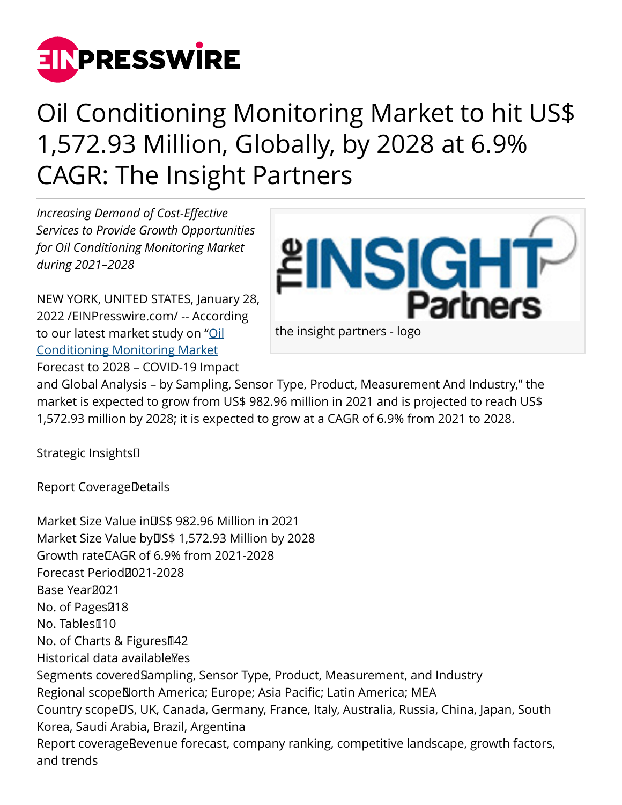

## Oil Conditioning Monitoring Market to hit US\$ 1,572.93 Million, Globally, by 2028 at 6.9% CAGR: The Insight Partners

*Increasing Demand of Cost-Effective Services to Provide Growth Opportunities for Oil Conditioning Monitoring Market during 2021–2028*

NEW YORK, UNITED STATES, January 28, 2022 /[EINPresswire.com](http://www.einpresswire.com)/ -- According to our latest market study on ["Oil](https://www.theinsightpartners.com/sample/TIPRE00008254/) [Conditioning Monitoring Market](https://www.theinsightpartners.com/sample/TIPRE00008254/) Forecast to 2028 – COVID-19 Impact



and Global Analysis – by Sampling, Sensor Type, Product, Measurement And Industry," the market is expected to grow from US\$ 982.96 million in 2021 and is projected to reach US\$ 1,572.93 million by 2028; it is expected to grow at a CAGR of 6.9% from 2021 to 2028.

Strategic Insights 

Report CoverageDetails

Market Size Value in US\$ 982.96 Million in 2021 Market Size Value by US\$ 1,572.93 Million by 2028 Growth rate CAGR of 6.9% from 2021-2028 Forecast Period<sub>2021-2028</sub> Base Year<sub>2021</sub> No. of Pages<sup>218</sup> No. Tables110 No. of Charts & Figures142 Historical data available Mes Segments covered Sampling, Sensor Type, Product, Measurement, and Industry Regional scopeNorth America; Europe; Asia Pacific; Latin America; MEA Country scope<sup>n</sup>S, UK, Canada, Germany, France, Italy, Australia, Russia, China, Japan, South Korea, Saudi Arabia, Brazil, Argentina Report coverage Revenue forecast, company ranking, competitive landscape, growth factors, and trends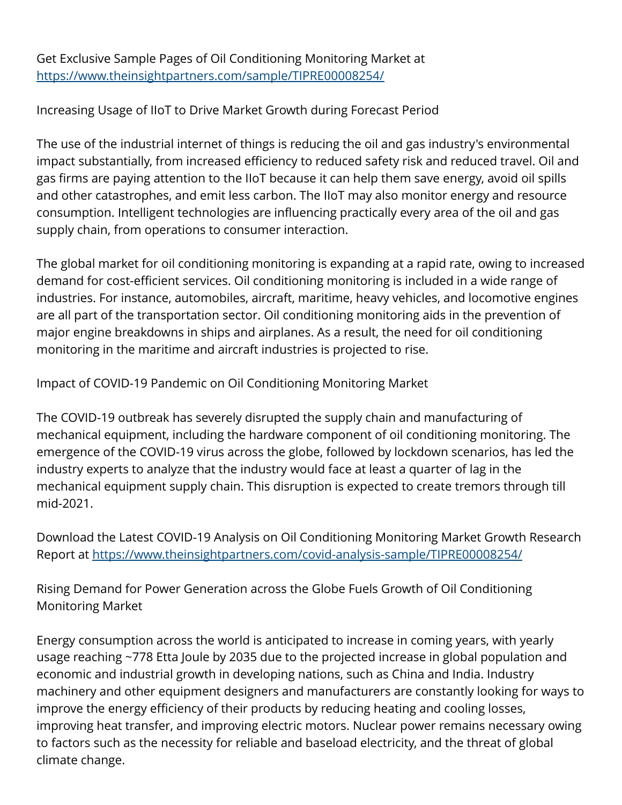Get Exclusive Sample Pages of Oil Conditioning Monitoring Market at [https://www.theinsightpartners.com/sample/TIPRE00008254/](https://www.theinsightpartners.com/sample/TIPRE00008254/?utm_source=EINPressWire&utm_medium=10196)

Increasing Usage of IIoT to Drive Market Growth during Forecast Period

The use of the industrial internet of things is reducing the oil and gas industry's environmental impact substantially, from increased efficiency to reduced safety risk and reduced travel. Oil and gas firms are paying attention to the IIoT because it can help them save energy, avoid oil spills and other catastrophes, and emit less carbon. The IIoT may also monitor energy and resource consumption. Intelligent technologies are influencing practically every area of the oil and gas supply chain, from operations to consumer interaction.

The global market for oil conditioning monitoring is expanding at a rapid rate, owing to increased demand for cost-efficient services. Oil conditioning monitoring is included in a wide range of industries. For instance, automobiles, aircraft, maritime, heavy vehicles, and locomotive engines are all part of the transportation sector. Oil conditioning monitoring aids in the prevention of major engine breakdowns in ships and airplanes. As a result, the need for oil conditioning monitoring in the maritime and aircraft industries is projected to rise.

Impact of COVID-19 Pandemic on Oil Conditioning Monitoring Market

The COVID-19 outbreak has severely disrupted the supply chain and manufacturing of mechanical equipment, including the hardware component of oil conditioning monitoring. The emergence of the COVID-19 virus across the globe, followed by lockdown scenarios, has led the industry experts to analyze that the industry would face at least a quarter of lag in the mechanical equipment supply chain. This disruption is expected to create tremors through till mid-2021.

Download the Latest COVID-19 Analysis on Oil Conditioning Monitoring Market Growth Research Report at <https://www.theinsightpartners.com/covid-analysis-sample/TIPRE00008254/>

Rising Demand for Power Generation across the Globe Fuels Growth of Oil Conditioning Monitoring Market

Energy consumption across the world is anticipated to increase in coming years, with yearly usage reaching ~778 Etta Joule by 2035 due to the projected increase in global population and economic and industrial growth in developing nations, such as China and India. Industry machinery and other equipment designers and manufacturers are constantly looking for ways to improve the energy efficiency of their products by reducing heating and cooling losses, improving heat transfer, and improving electric motors. Nuclear power remains necessary owing to factors such as the necessity for reliable and baseload electricity, and the threat of global climate change.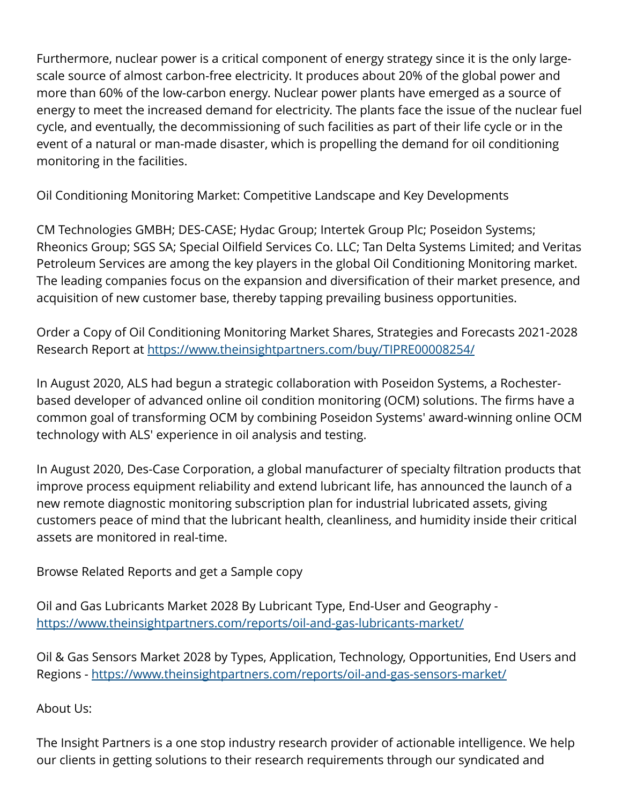Furthermore, nuclear power is a critical component of energy strategy since it is the only largescale source of almost carbon-free electricity. It produces about 20% of the global power and more than 60% of the low-carbon energy. Nuclear power plants have emerged as a source of energy to meet the increased demand for electricity. The plants face the issue of the nuclear fuel cycle, and eventually, the decommissioning of such facilities as part of their life cycle or in the event of a natural or man-made disaster, which is propelling the demand for oil conditioning monitoring in the facilities.

Oil Conditioning Monitoring Market: Competitive Landscape and Key Developments

CM Technologies GMBH; DES-CASE; Hydac Group; Intertek Group Plc; Poseidon Systems; Rheonics Group; SGS SA; Special Oilfield Services Co. LLC; Tan Delta Systems Limited; and Veritas Petroleum Services are among the key players in the global Oil Conditioning Monitoring market. The leading companies focus on the expansion and diversification of their market presence, and acquisition of new customer base, thereby tapping prevailing business opportunities.

Order a Copy of Oil Conditioning Monitoring Market Shares, Strategies and Forecasts 2021-2028 Research Report at [https://www.theinsightpartners.com/buy/TIPRE00008254/](https://www.theinsightpartners.com/buy/TIPRE00008254/?utm_source=EINPressWire&utm_medium=10196)

In August 2020, ALS had begun a strategic collaboration with Poseidon Systems, a Rochesterbased developer of advanced online oil condition monitoring (OCM) solutions. The firms have a common goal of transforming OCM by combining Poseidon Systems' award-winning online OCM technology with ALS' experience in oil analysis and testing.

In August 2020, Des-Case Corporation, a global manufacturer of specialty filtration products that improve process equipment reliability and extend lubricant life, has announced the launch of a new remote diagnostic monitoring subscription plan for industrial lubricated assets, giving customers peace of mind that the lubricant health, cleanliness, and humidity inside their critical assets are monitored in real-time.

Browse Related Reports and get a Sample copy

Oil and Gas Lubricants Market 2028 By Lubricant Type, End-User and Geography <https://www.theinsightpartners.com/reports/oil-and-gas-lubricants-market/>

Oil & Gas Sensors Market 2028 by Types, Application, Technology, Opportunities, End Users and Regions -<https://www.theinsightpartners.com/reports/oil-and-gas-sensors-market/>

About Us:

The Insight Partners is a one stop industry research provider of actionable intelligence. We help our clients in getting solutions to their research requirements through our syndicated and